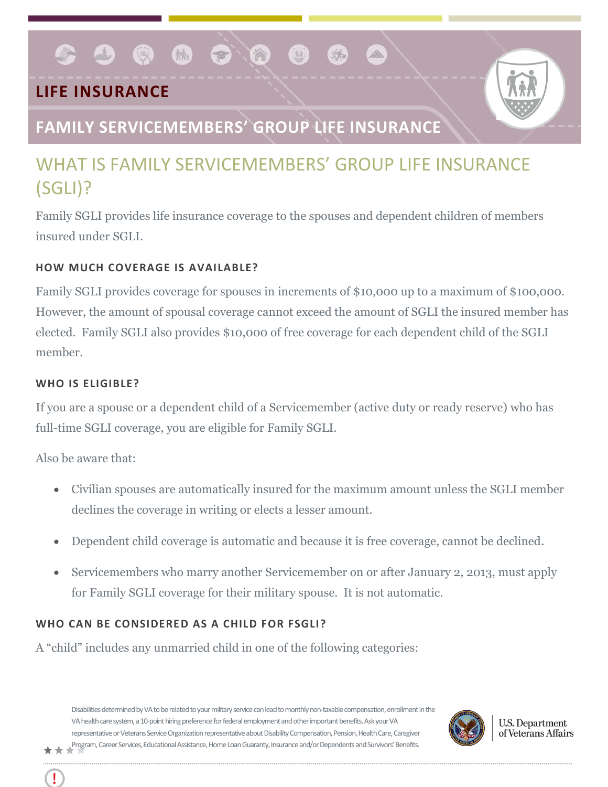# **LIFE INSURANCE**



# **FAMILY SERVICEMEMBERS' GROUP LIFE INSURANCE**

**PIA** 

# WHAT IS FAMILY SERVICEMEMBERS' GROUP LIFE INSURANCE (SGLI)?

 $\left(\frac{1}{10k}\right)$ 

Family SGLI provides life insurance coverage to the spouses and dependent children of members insured under SGLI.

# **HOW MUCH COVERAGE IS AVAILABLE?**

 $\bullet$   $\bullet$   $\bullet$ 

Family SGLI provides coverage for spouses in increments of \$10,000 up to a maximum of \$100,000. However, the amount of spousal coverage cannot exceed the amount of SGLI the insured member has elected. Family SGLI also provides \$10,000 of free coverage for each dependent child of the SGLI member.

## **WHO IS ELIGIBLE?**

If you are a spouse or a dependent child of a Servicemember (active duty or ready reserve) who has full-time SGLI coverage, you are eligible for Family SGLI.

Also be aware that:

- Civilian spouses are automatically insured for the maximum amount unless the SGLI member declines the coverage in writing or elects a lesser amount.
- Dependent child coverage is automatic and because it is free coverage, cannot be declined.
- Servicemembers who marry another Servicemember on or after January 2, 2013, must apply for Family SGLI coverage for their military spouse. It is not automatic.

# **WHO CAN BE CONSIDERED AS A CHILD FOR FSGLI?**

A "child" includes any unmarried child in one of the following categories:

Disabilities determined by VA to be related to your military service can lead to monthly non-taxable compensation, enrollment in the VA health care system, a 10-point hiring preference for federal employment and other important benefits. Ask your VA representative or Veterans Service Organization representative about Disability Compensation, Pension, Health Care, Caregiver Program, Career Services, Educational Assistance, Home Loan Guaranty, Insurance and/or Dependents and Survivors' Benefits.



**U.S. Department** of Veterans Affairs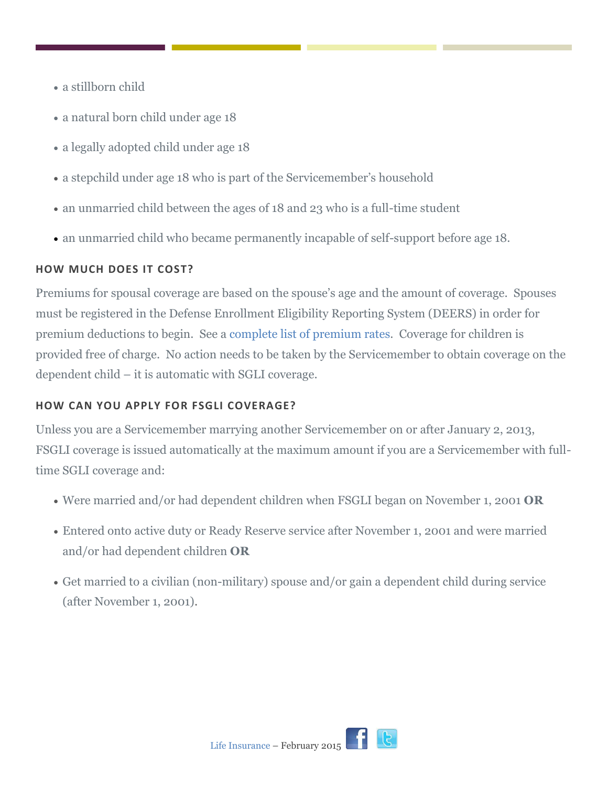- a stillborn child
- a natural born child under age 18
- a legally adopted child under age 18
- a stepchild under age 18 who is part of the Servicemember's household
- an unmarried child between the ages of 18 and 23 who is a full-time student
- an unmarried child who became permanently incapable of self-support before age 18.

### **HOW MUCH DOES IT COST?**

Premiums for spousal coverage are based on the spouse's age and the amount of coverage. Spouses must be registered in the Defense Enrollment Eligibility Reporting System (DEERS) in order for premium deductions to begin. See a [complete list of premium rates.](http://www.benefits.va.gov/insurance/fsgli.asp.) Coverage for children is provided free of charge. No action needs to be taken by the Servicemember to obtain coverage on the dependent child – it is automatic with SGLI coverage.

## **HOW CAN YOU APPLY FOR FSGLI COVERAGE?**

Unless you are a Servicemember marrying another Servicemember on or after January 2, 2013, FSGLI coverage is issued automatically at the maximum amount if you are a Servicemember with fulltime SGLI coverage and:

- Were married and/or had dependent children when FSGLI began on November 1, 2001 **OR**
- Entered onto active duty or Ready Reserve service after November 1, 2001 and were married and/or had dependent children **OR**
- Get married to a civilian (non-military) spouse and/or gain a dependent child during service (after November 1, 2001).